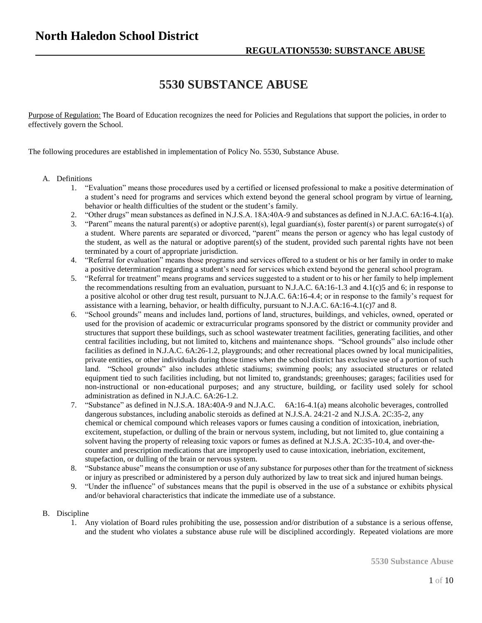## **5530 SUBSTANCE ABUSE**

Purpose of Regulation: The Board of Education recognizes the need for Policies and Regulations that support the policies, in order to effectively govern the School.

The following procedures are established in implementation of Policy No. 5530, Substance Abuse.

## A. Definitions

- 1. "Evaluation" means those procedures used by a certified or licensed professional to make a positive determination of a student's need for programs and services which extend beyond the general school program by virtue of learning, behavior or health difficulties of the student or the student's family.
- 2. "Other drugs" mean substances as defined in N.J.S.A. 18A:40A-9 and substances as defined in N.J.A.C. 6A:16-4.1(a).
- 3. "Parent" means the natural parent(s) or adoptive parent(s), legal guardian(s), foster parent(s) or parent surrogate(s) of a student. Where parents are separated or divorced, "parent" means the person or agency who has legal custody of the student, as well as the natural or adoptive parent(s) of the student, provided such parental rights have not been terminated by a court of appropriate jurisdiction.
- 4. "Referral for evaluation" means those programs and services offered to a student or his or her family in order to make a positive determination regarding a student's need for services which extend beyond the general school program.
- 5. "Referral for treatment" means programs and services suggested to a student or to his or her family to help implement the recommendations resulting from an evaluation, pursuant to N.J.A.C. 6A:16-1.3 and 4.1(c)5 and 6; in response to a positive alcohol or other drug test result, pursuant to N.J.A.C. 6A:16-4.4; or in response to the family's request for assistance with a learning, behavior, or health difficulty, pursuant to N.J.A.C. 6A:16-4.1(c)7 and 8.
- 6. "School grounds" means and includes land, portions of land, structures, buildings, and vehicles, owned, operated or used for the provision of academic or extracurricular programs sponsored by the district or community provider and structures that support these buildings, such as school wastewater treatment facilities, generating facilities, and other central facilities including, but not limited to, kitchens and maintenance shops. "School grounds" also include other facilities as defined in N.J.A.C. 6A:26-1.2, playgrounds; and other recreational places owned by local municipalities, private entities, or other individuals during those times when the school district has exclusive use of a portion of such land. "School grounds" also includes athletic stadiums; swimming pools; any associated structures or related equipment tied to such facilities including, but not limited to, grandstands; greenhouses; garages; facilities used for non-instructional or non-educational purposes; and any structure, building, or facility used solely for school administration as defined in N.J.A.C. 6A:26-1.2.
- 7. "Substance" as defined in N.J.S.A. 18A:40A-9 and N.J.A.C. 6A:16-4.1(a) means alcoholic beverages, controlled dangerous substances, including anabolic steroids as defined at N.J.S.A. 24:21-2 and N.J.S.A. 2C:35-2, any chemical or chemical compound which releases vapors or fumes causing a condition of intoxication, inebriation, excitement, stupefaction, or dulling of the brain or nervous system, including, but not limited to, glue containing a solvent having the property of releasing toxic vapors or fumes as defined at N.J.S.A. 2C:35-10.4, and over-thecounter and prescription medications that are improperly used to cause intoxication, inebriation, excitement, stupefaction, or dulling of the brain or nervous system.
- 8. "Substance abuse" means the consumption or use of any substance for purposes other than for the treatment of sickness or injury as prescribed or administered by a person duly authorized by law to treat sick and injured human beings.
- 9. "Under the influence" of substances means that the pupil is observed in the use of a substance or exhibits physical and/or behavioral characteristics that indicate the immediate use of a substance.
- B. Discipline
	- 1. Any violation of Board rules prohibiting the use, possession and/or distribution of a substance is a serious offense, and the student who violates a substance abuse rule will be disciplined accordingly. Repeated violations are more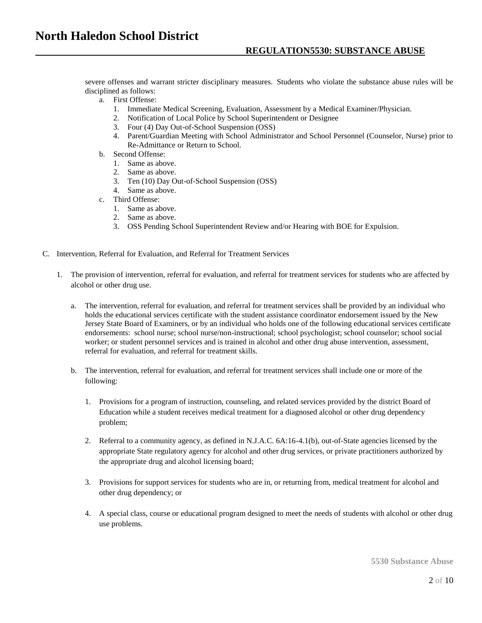severe offenses and warrant stricter disciplinary measures. Students who violate the substance abuse rules will be disciplined as follows:

- a. First Offense:
	- 1. Immediate Medical Screening, Evaluation, Assessment by a Medical Examiner/Physician.
	- 2. Notification of Local Police by School Superintendent or Designee
	- 3. Four (4) Day Out-of-School Suspension (OSS)
	- 4. Parent/Guardian Meeting with School Administrator and School Personnel (Counselor, Nurse) prior to Re-Admittance or Return to School.
- b. Second Offense:
	- 1. Same as above.
	- 2. Same as above.
	- 3. Ten (10) Day Out-of-School Suspension (OSS)
	- 4. Same as above.
- c. Third Offense:
	- 1. Same as above.
	- 2. Same as above.
	- 3. OSS Pending School Superintendent Review and/or Hearing with BOE for Expulsion.
- C. Intervention, Referral for Evaluation, and Referral for Treatment Services
	- 1. The provision of intervention, referral for evaluation, and referral for treatment services for students who are affected by alcohol or other drug use.
		- a. The intervention, referral for evaluation, and referral for treatment services shall be provided by an individual who holds the educational services certificate with the student assistance coordinator endorsement issued by the New Jersey State Board of Examiners, or by an individual who holds one of the following educational services certificate endorsements: school nurse; school nurse/non-instructional; school psychologist; school counselor; school social worker; or student personnel services and is trained in alcohol and other drug abuse intervention, assessment, referral for evaluation, and referral for treatment skills.
		- b. The intervention, referral for evaluation, and referral for treatment services shall include one or more of the following:
			- 1. Provisions for a program of instruction, counseling, and related services provided by the district Board of Education while a student receives medical treatment for a diagnosed alcohol or other drug dependency problem;
			- 2. Referral to a community agency, as defined in N.J.A.C. 6A:16-4.1(b), out-of-State agencies licensed by the appropriate State regulatory agency for alcohol and other drug services, or private practitioners authorized by the appropriate drug and alcohol licensing board;
			- 3. Provisions for support services for students who are in, or returning from, medical treatment for alcohol and other drug dependency; or
			- 4. A special class, course or educational program designed to meet the needs of students with alcohol or other drug use problems.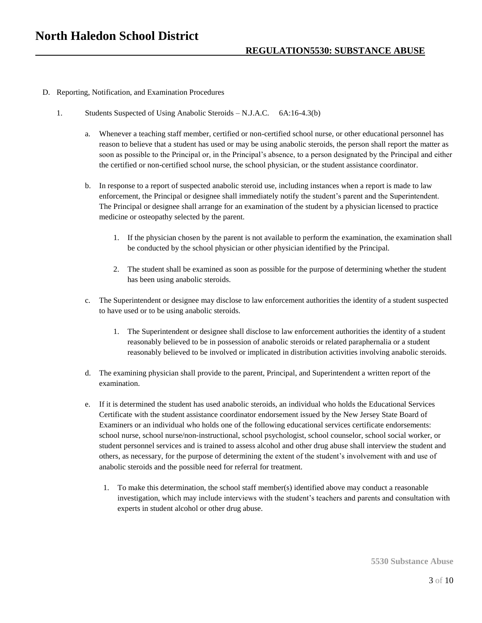- D. Reporting, Notification, and Examination Procedures
	- 1. Students Suspected of Using Anabolic Steroids N.J.A.C. 6A:16-4.3(b)
		- a. Whenever a teaching staff member, certified or non-certified school nurse, or other educational personnel has reason to believe that a student has used or may be using anabolic steroids, the person shall report the matter as soon as possible to the Principal or, in the Principal's absence, to a person designated by the Principal and either the certified or non-certified school nurse, the school physician, or the student assistance coordinator.
		- b. In response to a report of suspected anabolic steroid use, including instances when a report is made to law enforcement, the Principal or designee shall immediately notify the student's parent and the Superintendent. The Principal or designee shall arrange for an examination of the student by a physician licensed to practice medicine or osteopathy selected by the parent.
			- 1. If the physician chosen by the parent is not available to perform the examination, the examination shall be conducted by the school physician or other physician identified by the Principal.
			- 2. The student shall be examined as soon as possible for the purpose of determining whether the student has been using anabolic steroids.
		- c. The Superintendent or designee may disclose to law enforcement authorities the identity of a student suspected to have used or to be using anabolic steroids.
			- 1. The Superintendent or designee shall disclose to law enforcement authorities the identity of a student reasonably believed to be in possession of anabolic steroids or related paraphernalia or a student reasonably believed to be involved or implicated in distribution activities involving anabolic steroids.
		- d. The examining physician shall provide to the parent, Principal, and Superintendent a written report of the examination.
		- e. If it is determined the student has used anabolic steroids, an individual who holds the Educational Services Certificate with the student assistance coordinator endorsement issued by the New Jersey State Board of Examiners or an individual who holds one of the following educational services certificate endorsements: school nurse, school nurse/non-instructional, school psychologist, school counselor, school social worker, or student personnel services and is trained to assess alcohol and other drug abuse shall interview the student and others, as necessary, for the purpose of determining the extent of the student's involvement with and use of anabolic steroids and the possible need for referral for treatment.
			- 1. To make this determination, the school staff member(s) identified above may conduct a reasonable investigation, which may include interviews with the student's teachers and parents and consultation with experts in student alcohol or other drug abuse.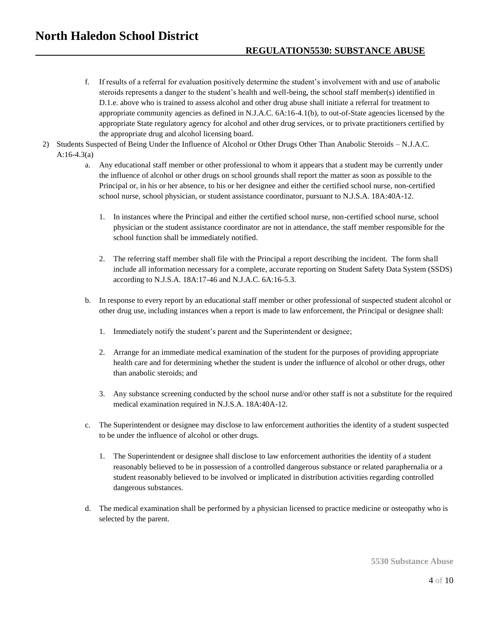- f. If results of a referral for evaluation positively determine the student's involvement with and use of anabolic steroids represents a danger to the student's health and well-being, the school staff member(s) identified in D.1.e. above who is trained to assess alcohol and other drug abuse shall initiate a referral for treatment to appropriate community agencies as defined in N.J.A.C. 6A:16-4.1(b), to out-of-State agencies licensed by the appropriate State regulatory agency for alcohol and other drug services, or to private practitioners certified by the appropriate drug and alcohol licensing board.
- 2) Students Suspected of Being Under the Influence of Alcohol or Other Drugs Other Than Anabolic Steroids N.J.A.C. A:16-4.3(a)
	- a. Any educational staff member or other professional to whom it appears that a student may be currently under the influence of alcohol or other drugs on school grounds shall report the matter as soon as possible to the Principal or, in his or her absence, to his or her designee and either the certified school nurse, non-certified school nurse, school physician, or student assistance coordinator, pursuant to N.J.S.A. 18A:40A-12.
		- 1. In instances where the Principal and either the certified school nurse, non-certified school nurse, school physician or the student assistance coordinator are not in attendance, the staff member responsible for the school function shall be immediately notified.
		- 2. The referring staff member shall file with the Principal a report describing the incident. The form shall include all information necessary for a complete, accurate reporting on Student Safety Data System (SSDS) according to N.J.S.A. 18A:17-46 and N.J.A.C. 6A:16-5.3.
	- b. In response to every report by an educational staff member or other professional of suspected student alcohol or other drug use, including instances when a report is made to law enforcement, the Principal or designee shall:
		- 1. Immediately notify the student's parent and the Superintendent or designee;
		- 2. Arrange for an immediate medical examination of the student for the purposes of providing appropriate health care and for determining whether the student is under the influence of alcohol or other drugs, other than anabolic steroids; and
		- 3. Any substance screening conducted by the school nurse and/or other staff is not a substitute for the required medical examination required in N.J.S.A. 18A:40A-12.
	- c. The Superintendent or designee may disclose to law enforcement authorities the identity of a student suspected to be under the influence of alcohol or other drugs.
		- 1. The Superintendent or designee shall disclose to law enforcement authorities the identity of a student reasonably believed to be in possession of a controlled dangerous substance or related paraphernalia or a student reasonably believed to be involved or implicated in distribution activities regarding controlled dangerous substances.
	- d. The medical examination shall be performed by a physician licensed to practice medicine or osteopathy who is selected by the parent.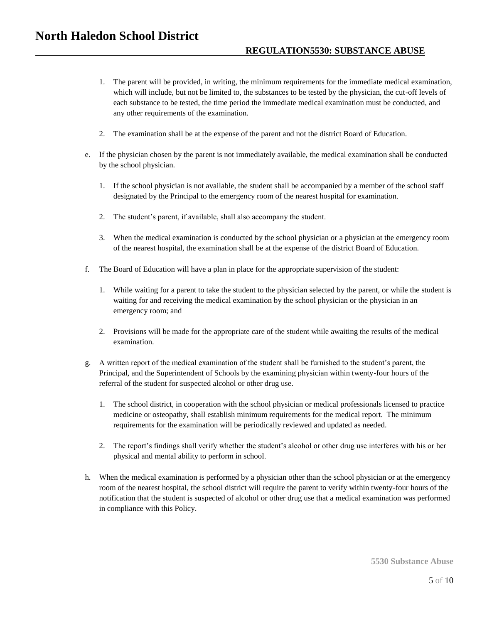- 1. The parent will be provided, in writing, the minimum requirements for the immediate medical examination, which will include, but not be limited to, the substances to be tested by the physician, the cut-off levels of each substance to be tested, the time period the immediate medical examination must be conducted, and any other requirements of the examination.
- 2. The examination shall be at the expense of the parent and not the district Board of Education.
- e. If the physician chosen by the parent is not immediately available, the medical examination shall be conducted by the school physician.
	- 1. If the school physician is not available, the student shall be accompanied by a member of the school staff designated by the Principal to the emergency room of the nearest hospital for examination.
	- 2. The student's parent, if available, shall also accompany the student.
	- 3. When the medical examination is conducted by the school physician or a physician at the emergency room of the nearest hospital, the examination shall be at the expense of the district Board of Education.
- f. The Board of Education will have a plan in place for the appropriate supervision of the student:
	- 1. While waiting for a parent to take the student to the physician selected by the parent, or while the student is waiting for and receiving the medical examination by the school physician or the physician in an emergency room; and
	- 2. Provisions will be made for the appropriate care of the student while awaiting the results of the medical examination.
- g. A written report of the medical examination of the student shall be furnished to the student's parent, the Principal, and the Superintendent of Schools by the examining physician within twenty-four hours of the referral of the student for suspected alcohol or other drug use.
	- 1. The school district, in cooperation with the school physician or medical professionals licensed to practice medicine or osteopathy, shall establish minimum requirements for the medical report. The minimum requirements for the examination will be periodically reviewed and updated as needed.
	- 2. The report's findings shall verify whether the student's alcohol or other drug use interferes with his or her physical and mental ability to perform in school.
- h. When the medical examination is performed by a physician other than the school physician or at the emergency room of the nearest hospital, the school district will require the parent to verify within twenty-four hours of the notification that the student is suspected of alcohol or other drug use that a medical examination was performed in compliance with this Policy.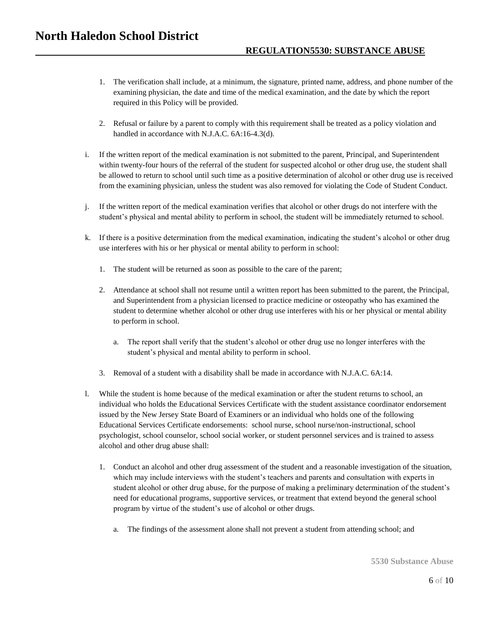- 1. The verification shall include, at a minimum, the signature, printed name, address, and phone number of the examining physician, the date and time of the medical examination, and the date by which the report required in this Policy will be provided.
- 2. Refusal or failure by a parent to comply with this requirement shall be treated as a policy violation and handled in accordance with N.J.A.C. 6A:16-4.3(d).
- i. If the written report of the medical examination is not submitted to the parent, Principal, and Superintendent within twenty-four hours of the referral of the student for suspected alcohol or other drug use, the student shall be allowed to return to school until such time as a positive determination of alcohol or other drug use is received from the examining physician, unless the student was also removed for violating the Code of Student Conduct.
- j. If the written report of the medical examination verifies that alcohol or other drugs do not interfere with the student's physical and mental ability to perform in school, the student will be immediately returned to school.
- k. If there is a positive determination from the medical examination, indicating the student's alcohol or other drug use interferes with his or her physical or mental ability to perform in school:
	- 1. The student will be returned as soon as possible to the care of the parent;
	- 2. Attendance at school shall not resume until a written report has been submitted to the parent, the Principal, and Superintendent from a physician licensed to practice medicine or osteopathy who has examined the student to determine whether alcohol or other drug use interferes with his or her physical or mental ability to perform in school.
		- a. The report shall verify that the student's alcohol or other drug use no longer interferes with the student's physical and mental ability to perform in school.
	- 3. Removal of a student with a disability shall be made in accordance with N.J.A.C. 6A:14.
- l. While the student is home because of the medical examination or after the student returns to school, an individual who holds the Educational Services Certificate with the student assistance coordinator endorsement issued by the New Jersey State Board of Examiners or an individual who holds one of the following Educational Services Certificate endorsements: school nurse, school nurse/non-instructional, school psychologist, school counselor, school social worker, or student personnel services and is trained to assess alcohol and other drug abuse shall:
	- 1. Conduct an alcohol and other drug assessment of the student and a reasonable investigation of the situation, which may include interviews with the student's teachers and parents and consultation with experts in student alcohol or other drug abuse, for the purpose of making a preliminary determination of the student's need for educational programs, supportive services, or treatment that extend beyond the general school program by virtue of the student's use of alcohol or other drugs.
		- a. The findings of the assessment alone shall not prevent a student from attending school; and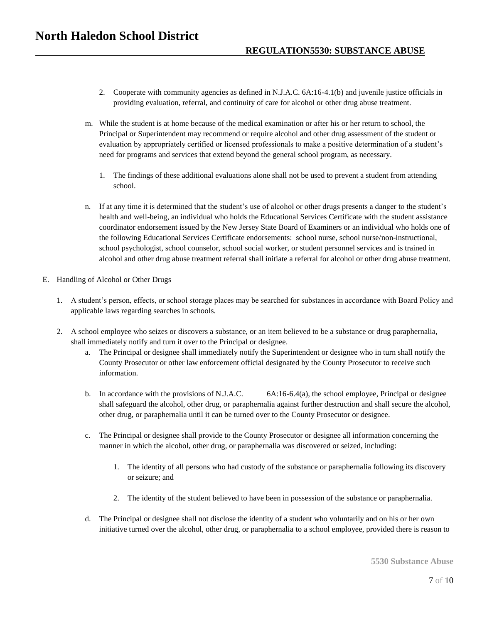- 2. Cooperate with community agencies as defined in N.J.A.C. 6A:16-4.1(b) and juvenile justice officials in providing evaluation, referral, and continuity of care for alcohol or other drug abuse treatment.
- m. While the student is at home because of the medical examination or after his or her return to school, the Principal or Superintendent may recommend or require alcohol and other drug assessment of the student or evaluation by appropriately certified or licensed professionals to make a positive determination of a student's need for programs and services that extend beyond the general school program, as necessary.
	- 1. The findings of these additional evaluations alone shall not be used to prevent a student from attending school.
- n. If at any time it is determined that the student's use of alcohol or other drugs presents a danger to the student's health and well-being, an individual who holds the Educational Services Certificate with the student assistance coordinator endorsement issued by the New Jersey State Board of Examiners or an individual who holds one of the following Educational Services Certificate endorsements: school nurse, school nurse/non-instructional, school psychologist, school counselor, school social worker, or student personnel services and is trained in alcohol and other drug abuse treatment referral shall initiate a referral for alcohol or other drug abuse treatment.
- E. Handling of Alcohol or Other Drugs
	- 1. A student's person, effects, or school storage places may be searched for substances in accordance with Board Policy and applicable laws regarding searches in schools.
	- 2. A school employee who seizes or discovers a substance, or an item believed to be a substance or drug paraphernalia, shall immediately notify and turn it over to the Principal or designee.
		- a. The Principal or designee shall immediately notify the Superintendent or designee who in turn shall notify the County Prosecutor or other law enforcement official designated by the County Prosecutor to receive such information.
		- b. In accordance with the provisions of N.J.A.C. 6A:16-6.4(a), the school employee, Principal or designee shall safeguard the alcohol, other drug, or paraphernalia against further destruction and shall secure the alcohol, other drug, or paraphernalia until it can be turned over to the County Prosecutor or designee.
		- c. The Principal or designee shall provide to the County Prosecutor or designee all information concerning the manner in which the alcohol, other drug, or paraphernalia was discovered or seized, including:
			- 1. The identity of all persons who had custody of the substance or paraphernalia following its discovery or seizure; and
			- 2. The identity of the student believed to have been in possession of the substance or paraphernalia.
		- d. The Principal or designee shall not disclose the identity of a student who voluntarily and on his or her own initiative turned over the alcohol, other drug, or paraphernalia to a school employee, provided there is reason to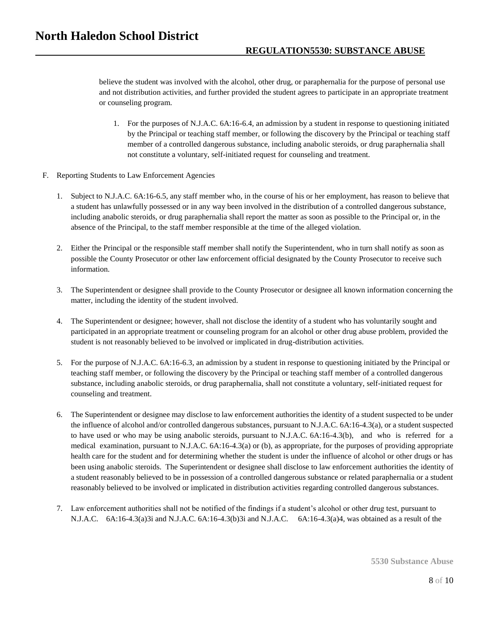believe the student was involved with the alcohol, other drug, or paraphernalia for the purpose of personal use and not distribution activities, and further provided the student agrees to participate in an appropriate treatment or counseling program.

- 1. For the purposes of N.J.A.C. 6A:16-6.4, an admission by a student in response to questioning initiated by the Principal or teaching staff member, or following the discovery by the Principal or teaching staff member of a controlled dangerous substance, including anabolic steroids, or drug paraphernalia shall not constitute a voluntary, self-initiated request for counseling and treatment.
- F. Reporting Students to Law Enforcement Agencies
	- 1. Subject to N.J.A.C. 6A:16-6.5, any staff member who, in the course of his or her employment, has reason to believe that a student has unlawfully possessed or in any way been involved in the distribution of a controlled dangerous substance, including anabolic steroids, or drug paraphernalia shall report the matter as soon as possible to the Principal or, in the absence of the Principal, to the staff member responsible at the time of the alleged violation.
	- 2. Either the Principal or the responsible staff member shall notify the Superintendent, who in turn shall notify as soon as possible the County Prosecutor or other law enforcement official designated by the County Prosecutor to receive such information.
	- 3. The Superintendent or designee shall provide to the County Prosecutor or designee all known information concerning the matter, including the identity of the student involved.
	- 4. The Superintendent or designee; however, shall not disclose the identity of a student who has voluntarily sought and participated in an appropriate treatment or counseling program for an alcohol or other drug abuse problem, provided the student is not reasonably believed to be involved or implicated in drug-distribution activities.
	- 5. For the purpose of N.J.A.C. 6A:16-6.3, an admission by a student in response to questioning initiated by the Principal or teaching staff member, or following the discovery by the Principal or teaching staff member of a controlled dangerous substance, including anabolic steroids, or drug paraphernalia, shall not constitute a voluntary, self-initiated request for counseling and treatment.
	- 6. The Superintendent or designee may disclose to law enforcement authorities the identity of a student suspected to be under the influence of alcohol and/or controlled dangerous substances, pursuant to N.J.A.C. 6A:16-4.3(a), or a student suspected to have used or who may be using anabolic steroids, pursuant to N.J.A.C. 6A:16-4.3(b), and who is referred for a medical examination, pursuant to N.J.A.C. 6A:16-4.3(a) or (b), as appropriate, for the purposes of providing appropriate health care for the student and for determining whether the student is under the influence of alcohol or other drugs or has been using anabolic steroids. The Superintendent or designee shall disclose to law enforcement authorities the identity of a student reasonably believed to be in possession of a controlled dangerous substance or related paraphernalia or a student reasonably believed to be involved or implicated in distribution activities regarding controlled dangerous substances.
	- 7. Law enforcement authorities shall not be notified of the findings if a student's alcohol or other drug test, pursuant to N.J.A.C. 6A:16-4.3(a)3i and N.J.A.C. 6A:16-4.3(b)3i and N.J.A.C. 6A:16-4.3(a)4, was obtained as a result of the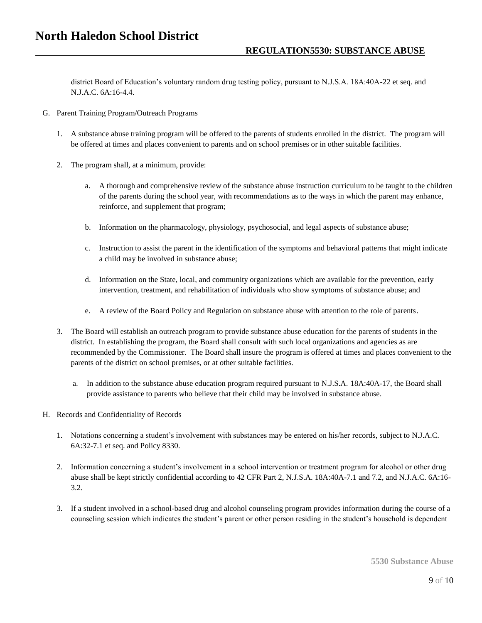district Board of Education's voluntary random drug testing policy, pursuant to N.J.S.A. 18A:40A-22 et seq. and N.J.A.C. 6A:16-4.4.

- G. Parent Training Program/Outreach Programs
	- 1. A substance abuse training program will be offered to the parents of students enrolled in the district. The program will be offered at times and places convenient to parents and on school premises or in other suitable facilities.
	- 2. The program shall, at a minimum, provide:
		- a. A thorough and comprehensive review of the substance abuse instruction curriculum to be taught to the children of the parents during the school year, with recommendations as to the ways in which the parent may enhance, reinforce, and supplement that program;
		- b. Information on the pharmacology, physiology, psychosocial, and legal aspects of substance abuse;
		- c. Instruction to assist the parent in the identification of the symptoms and behavioral patterns that might indicate a child may be involved in substance abuse;
		- d. Information on the State, local, and community organizations which are available for the prevention, early intervention, treatment, and rehabilitation of individuals who show symptoms of substance abuse; and
		- e. A review of the Board Policy and Regulation on substance abuse with attention to the role of parents.
	- 3. The Board will establish an outreach program to provide substance abuse education for the parents of students in the district. In establishing the program, the Board shall consult with such local organizations and agencies as are recommended by the Commissioner. The Board shall insure the program is offered at times and places convenient to the parents of the district on school premises, or at other suitable facilities.
		- a. In addition to the substance abuse education program required pursuant to N.J.S.A. 18A:40A-17, the Board shall provide assistance to parents who believe that their child may be involved in substance abuse.
- H. Records and Confidentiality of Records
	- 1. Notations concerning a student's involvement with substances may be entered on his/her records, subject to N.J.A.C. 6A:32-7.1 et seq. and Policy 8330.
	- 2. Information concerning a student's involvement in a school intervention or treatment program for alcohol or other drug abuse shall be kept strictly confidential according to 42 CFR Part 2, N.J.S.A. 18A:40A-7.1 and 7.2, and N.J.A.C. 6A:16- 3.2.
	- 3. If a student involved in a school-based drug and alcohol counseling program provides information during the course of a counseling session which indicates the student's parent or other person residing in the student's household is dependent